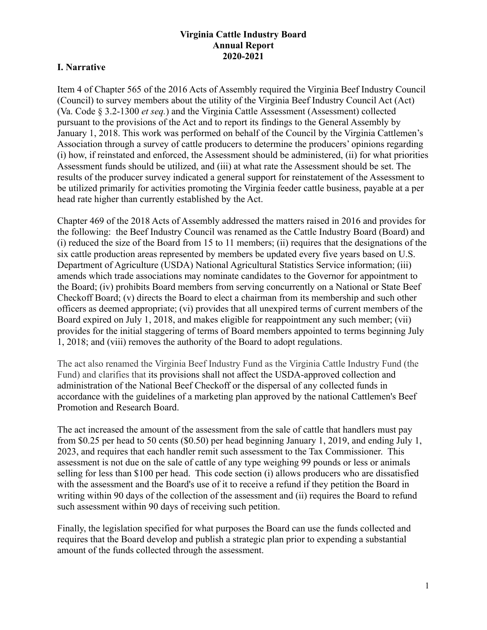## **I. Narrative**

Item 4 of Chapter 565 of the 2016 Acts of Assembly required the Virginia Beef Industry Council (Council) to survey members about the utility of the Virginia Beef Industry Council Act (Act) (Va. Code § 3.2-1300 *et seq.*) and the Virginia Cattle Assessment (Assessment) collected pursuant to the provisions of the Act and to report its findings to the General Assembly by January 1, 2018. This work was performed on behalf of the Council by the Virginia Cattlemen's Association through a survey of cattle producers to determine the producers' opinions regarding (i) how, if reinstated and enforced, the Assessment should be administered, (ii) for what priorities Assessment funds should be utilized, and (iii) at what rate the Assessment should be set. The results of the producer survey indicated a general support for reinstatement of the Assessment to be utilized primarily for activities promoting the Virginia feeder cattle business, payable at a per head rate higher than currently established by the Act.

Chapter 469 of the 2018 Acts of Assembly addressed the matters raised in 2016 and provides for the following: the Beef Industry Council was renamed as the Cattle Industry Board (Board) and (i) reduced the size of the Board from 15 to 11 members; (ii) requires that the designations of the six cattle production areas represented by members be updated every five years based on U.S. Department of Agriculture (USDA) National Agricultural Statistics Service information; (iii) amends which trade associations may nominate candidates to the Governor for appointment to the Board; (iv) prohibits Board members from serving concurrently on a National or State Beef Checkoff Board; (v) directs the Board to elect a chairman from its membership and such other officers as deemed appropriate; (vi) provides that all unexpired terms of current members of the Board expired on July 1, 2018, and makes eligible for reappointment any such member; (vii) provides for the initial staggering of terms of Board members appointed to terms beginning July 1, 2018; and (viii) removes the authority of the Board to adopt regulations.

The act also renamed the Virginia Beef Industry Fund as the Virginia Cattle Industry Fund (the Fund) and clarifies that its provisions shall not affect the USDA-approved collection and administration of the National Beef Checkoff or the dispersal of any collected funds in accordance with the guidelines of a marketing plan approved by the national Cattlemen's Beef Promotion and Research Board.

The act increased the amount of the assessment from the sale of cattle that handlers must pay from \$0.25 per head to 50 cents (\$0.50) per head beginning January 1, 2019, and ending July 1, 2023, and requires that each handler remit such assessment to the Tax Commissioner. This assessment is not due on the sale of cattle of any type weighing 99 pounds or less or animals selling for less than \$100 per head. This code section (i) allows producers who are dissatisfied with the assessment and the Board's use of it to receive a refund if they petition the Board in writing within 90 days of the collection of the assessment and (ii) requires the Board to refund such assessment within 90 days of receiving such petition.

Finally, the legislation specified for what purposes the Board can use the funds collected and requires that the Board develop and publish a strategic plan prior to expending a substantial amount of the funds collected through the assessment.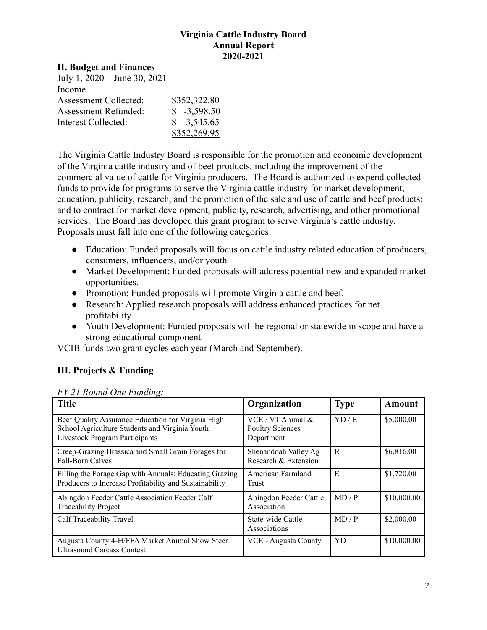#### **II. Budget and Finances**

| July 1, 2020 – June 30, 2021 |               |
|------------------------------|---------------|
| Income                       |               |
| <b>Assessment Collected:</b> | \$352,322.80  |
| <b>Assessment Refunded:</b>  | $$ -3,598.50$ |
| Interest Collected:          | \$3,545.65    |
|                              | \$352,269.95  |

The Virginia Cattle Industry Board is responsible for the promotion and economic development of the Virginia cattle industry and of beef products, including the improvement of the commercial value of cattle for Virginia producers. The Board is authorized to expend collected funds to provide for programs to serve the Virginia cattle industry for market development, education, publicity, research, and the promotion of the sale and use of cattle and beef products; and to contract for market development, publicity, research, advertising, and other promotional services. The Board has developed this grant program to serve Virginia's cattle industry. Proposals must fall into one of the following categories:

- Education: Funded proposals will focus on cattle industry related education of producers, consumers, influencers, and/or youth
- Market Development: Funded proposals will address potential new and expanded market opportunities.
- Promotion: Funded proposals will promote Virginia cattle and beef.
- Research: Applied research proposals will address enhanced practices for net profitability.
- Youth Development: Funded proposals will be regional or statewide in scope and have a strong educational component.

VCIB funds two grant cycles each year (March and September).

# **III. Projects & Funding**

|                |  | FY 21 Round One Funding: |  |
|----------------|--|--------------------------|--|
| . <del>.</del> |  |                          |  |

| <b>Title</b>                                                                                                                                  | Organization                                                   | <b>Type</b> | Amount      |
|-----------------------------------------------------------------------------------------------------------------------------------------------|----------------------------------------------------------------|-------------|-------------|
| Beef Quality Assurance Education for Virginia High<br>School Agriculture Students and Virginia Youth<br><b>Livestock Program Participants</b> | $VCE / VT$ Animal $&$<br><b>Poultry Sciences</b><br>Department | YD/E        | \$5,000.00  |
| Creep-Grazing Brassica and Small Grain Forages for<br><b>Fall-Born Calves</b>                                                                 | Shenandoah Valley Ag<br>Research & Extension                   | R           | \$6,816.00  |
| Filling the Forage Gap with Annuals: Educating Grazing<br>Producers to Increase Profitability and Sustainability                              | American Farmland<br>Trust                                     | E           | \$1,720.00  |
| Abingdon Feeder Cattle Association Feeder Calf<br><b>Traceability Project</b>                                                                 | Abingdon Feeder Cattle<br>Association                          | MD / P      | \$10,000.00 |
| Calf Traceability Travel                                                                                                                      | State-wide Cattle<br>Associations                              | MD / P      | \$2,000.00  |
| Augusta County 4-H/FFA Market Animal Show Steer<br><b>Ultrasound Carcass Contest</b>                                                          | VCE - Augusta County                                           | <b>YD</b>   | \$10,000.00 |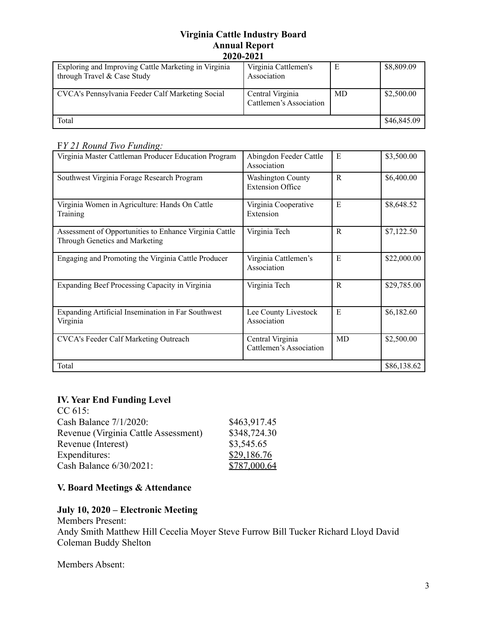| Exploring and Improving Cattle Marketing in Virginia<br>through Travel & Case Study | Virginia Cattlemen's<br>Association         | Е         | \$8,809.09  |
|-------------------------------------------------------------------------------------|---------------------------------------------|-----------|-------------|
| CVCA's Pennsylvania Feeder Calf Marketing Social                                    | Central Virginia<br>Cattlemen's Association | <b>MD</b> | \$2,500.00  |
| Total                                                                               |                                             |           | \$46,845.09 |

F*Y 21 Round Two Funding:*

| Virginia Master Cattleman Producer Education Program                                     | Abingdon Feeder Cattle<br>Association               | E           | \$3,500.00  |
|------------------------------------------------------------------------------------------|-----------------------------------------------------|-------------|-------------|
| Southwest Virginia Forage Research Program                                               | <b>Washington County</b><br><b>Extension Office</b> | $\mathbf R$ | \$6,400.00  |
| Virginia Women in Agriculture: Hands On Cattle<br>Training                               | Virginia Cooperative<br>Extension                   | E           | \$8,648.52  |
| Assessment of Opportunities to Enhance Virginia Cattle<br>Through Genetics and Marketing | Virginia Tech                                       | R           | \$7,122.50  |
| Engaging and Promoting the Virginia Cattle Producer                                      | Virginia Cattlemen's<br>Association                 | E           | \$22,000.00 |
| Expanding Beef Processing Capacity in Virginia                                           | Virginia Tech                                       | R           | \$29,785.00 |
| Expanding Artificial Insemination in Far Southwest<br>Virginia                           | Lee County Livestock<br>Association                 | E           | \$6,182.60  |
| <b>CVCA's Feeder Calf Marketing Outreach</b>                                             | Central Virginia<br>Cattlemen's Association         | MD          | \$2,500.00  |
| Total                                                                                    |                                                     |             | \$86,138.62 |

# **IV. Year End Funding Level**

| \$463,917.45 |
|--------------|
| \$348,724.30 |
| \$3,545.65   |
| \$29,186.76  |
| \$787,000.64 |
|              |

# **V. Board Meetings & Attendance**

## **July 10, 2020 – Electronic Meeting**

Members Present: Andy Smith Matthew Hill Cecelia Moyer Steve Furrow Bill Tucker Richard Lloyd David Coleman Buddy Shelton

Members Absent: